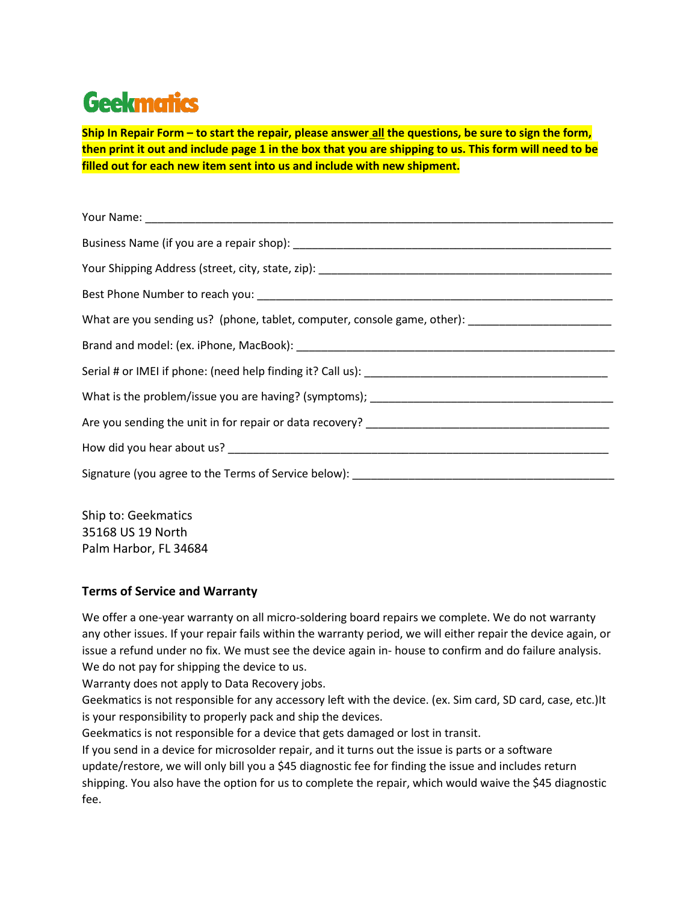## **Geekmatics**

**Ship In Repair Form – to start the repair, please answer all the questions, be sure to sign the form, then print it out and include page 1 in the box that you are shipping to us. This form will need to be filled out for each new item sent into us and include with new shipment.**

| What are you sending us? (phone, tablet, computer, console game, other): __________________________ |
|-----------------------------------------------------------------------------------------------------|
|                                                                                                     |
|                                                                                                     |
|                                                                                                     |
|                                                                                                     |
|                                                                                                     |
| Signature (you agree to the Terms of Service below): ____________________________                   |

Ship to: Geekmatics 35168 US 19 North Palm Harbor, FL 34684

## **Terms of Service and Warranty**

We offer a one-year warranty on all micro-soldering board repairs we complete. We do not warranty any other issues. If your repair fails within the warranty period, we will either repair the device again, or issue a refund under no fix. We must see the device again in- house to confirm and do failure analysis. We do not pay for shipping the device to us.

Warranty does not apply to Data Recovery jobs.

Geekmatics is not responsible for any accessory left with the device. (ex. Sim card, SD card, case, etc.)It is your responsibility to properly pack and ship the devices.

Geekmatics is not responsible for a device that gets damaged or lost in transit.

If you send in a device for microsolder repair, and it turns out the issue is parts or a software update/restore, we will only bill you a \$45 diagnostic fee for finding the issue and includes return shipping. You also have the option for us to complete the repair, which would waive the \$45 diagnostic fee.